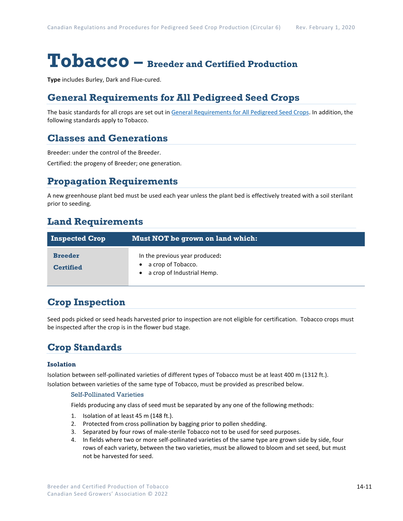# **Tobacco – Breeder and Certified Production**

**Type** includes Burley, Dark and Flue-cured.

## **General Requirements for All Pedigreed Seed Crops**

The basic standards for all crops are set out i[n General Requirements for All Pedigreed Seed](https://seedgrowers.ca/wp-content/uploads/2020/01/GENERAL-REQUIREMENTS-ALL-CROPS_EN.pdf) Crops. In addition, the following standards apply to Tobacco.

## **Classes and Generations**

Breeder: under the control of the Breeder.

Certified: the progeny of Breeder; one generation.

#### **Propagation Requirements**

A new greenhouse plant bed must be used each year unless the plant bed is effectively treated with a soil sterilant prior to seeding.

## **Land Requirements**

| <b>Inspected Crop</b>              | Must NOT be grown on land which:                                                     |
|------------------------------------|--------------------------------------------------------------------------------------|
| <b>Breeder</b><br><b>Certified</b> | In the previous year produced:<br>a crop of Tobacco.<br>• a crop of Industrial Hemp. |

## **Crop Inspection**

Seed pods picked or seed heads harvested prior to inspection are not eligible for certification. Tobacco crops must be inspected after the crop is in the flower bud stage.

## **Crop Standards**

#### **Isolation**

Isolation between self-pollinated varieties of different types of Tobacco must be at least 400 m (1312 ft.). Isolation between varieties of the same type of Tobacco, must be provided as prescribed below.

#### Self-Pollinated Varieties

Fields producing any class of seed must be separated by any one of the following methods:

- 1. Isolation of at least 45 m (148 ft.).
- 2. Protected from cross pollination by bagging prior to pollen shedding.
- 3. Separated by four rows of male-sterile Tobacco not to be used for seed purposes.
- 4. In fields where two or more self-pollinated varieties of the same type are grown side by side, four rows of each variety, between the two varieties, must be allowed to bloom and set seed, but must not be harvested for seed.